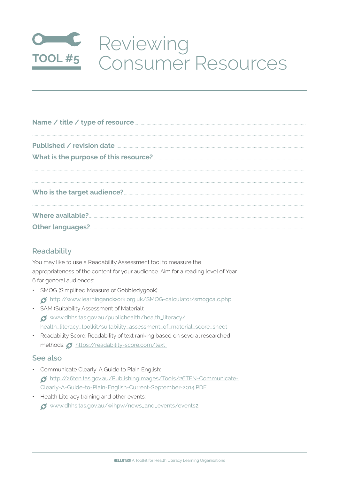## Reviewing<br>Tool#5 Consumer Resources

| Name / title / type of resource <b>Manual Community</b> Contract and Separate Property of the Visiter of the Visiter of the Visiter of the Separate Contract and Contract and Contract and Contract and Contract and Contract and C |
|-------------------------------------------------------------------------------------------------------------------------------------------------------------------------------------------------------------------------------------|
|                                                                                                                                                                                                                                     |
|                                                                                                                                                                                                                                     |
|                                                                                                                                                                                                                                     |
|                                                                                                                                                                                                                                     |

## Readability

You may like to use a Readability Assessment tool to measure the appropriateness of the content for your audience. Aim for a reading level of Year 6 for general audiences:

- · SMOG (Simplified Measure of Gobbledygook): 6 http://www.learningandwork.org.uk/SMOG-calculator/smogcalc.php
- · SAM (Suitability Assessment of Material): of www.dhhs.tas.gov.au/publichealth/health\_literacy/ health\_literacy\_toolkit/suitability\_assessment\_of\_material\_score\_sheet
- Readability Score: Readability of text ranking based on several researched methods: 5 https://readability-score.com/text

## See also

- · Communicate Clearly: A Guide to Plain English: 65 http://26ten.tas.gov.au/PublishingImages/Tools/26TEN-Communicate-Clearly-A-Guide-to-Plain-English-Current-September-2014.PDF
- Health Literacy training and other events: of www.dhhs.tas.gov.au/wihpw/news\_and\_events/events2